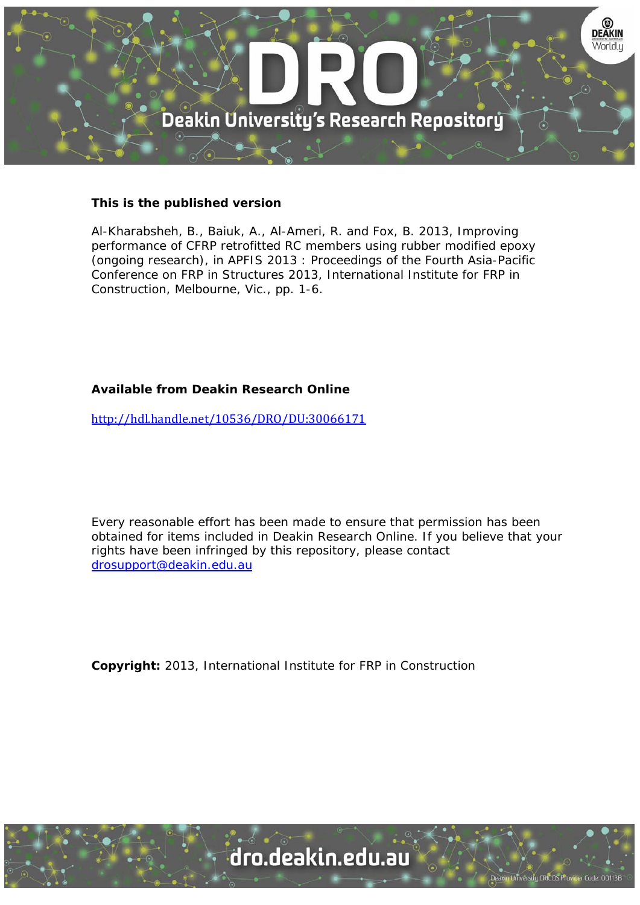

# **This is the published version**

Al-Kharabsheh, B., Baiuk, A., Al-Ameri, R. and Fox, B. 2013, Improving performance of CFRP retrofitted RC members using rubber modified epoxy (ongoing research), in APFIS 2013 : Proceedings of the Fourth Asia-Pacific Conference on FRP in Structures 2013, International Institute for FRP in Construction, Melbourne, Vic., pp. 1-6.

# **Available from Deakin Research Online**

http://hdl.handle.net/10536/DRO/DU:30066171

Every reasonable effort has been made to ensure that permission has been obtained for items included in Deakin Research Online. If you believe that your rights have been infringed by this repository, please contact drosupport@deakin.edu.au

**Copyright:** 2013, International Institute for FRP in Construction

University CRICOS Provider Code: 00113E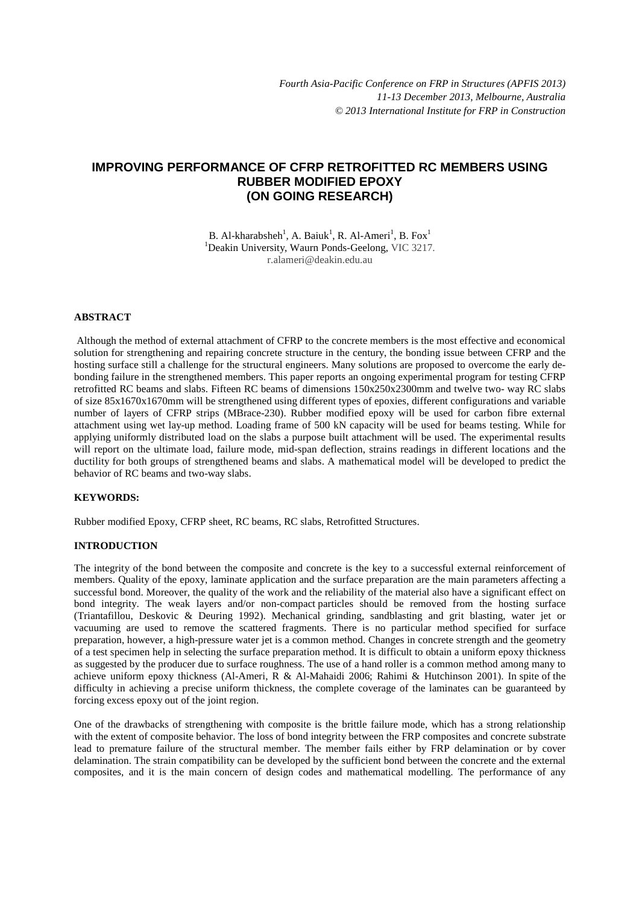# **IMPROVING PERFORMANCE OF CFRP RETROFITTED RC MEMBERS USING RUBBER MODIFIED EPOXY (ON GOING RESEARCH)**

B. Al-kharabsheh<sup>1</sup>, A. Baiuk<sup>1</sup>, R. Al-Ameri<sup>1</sup>, B. Fox<sup>1</sup> <sup>1</sup>Deakin University, Waurn Ponds-Geelong, VIC 3217. r.alameri@deakin.edu.au

## **ABSTRACT**

 Although the method of external attachment of CFRP to the concrete members is the most effective and economical solution for strengthening and repairing concrete structure in the century, the bonding issue between CFRP and the hosting surface still a challenge for the structural engineers. Many solutions are proposed to overcome the early debonding failure in the strengthened members. This paper reports an ongoing experimental program for testing CFRP retrofitted RC beams and slabs. Fifteen RC beams of dimensions 150x250x2300mm and twelve two- way RC slabs of size 85x1670x1670mm will be strengthened using different types of epoxies, different configurations and variable number of layers of CFRP strips (MBrace-230). Rubber modified epoxy will be used for carbon fibre external attachment using wet lay-up method. Loading frame of 500 kN capacity will be used for beams testing. While for applying uniformly distributed load on the slabs a purpose built attachment will be used. The experimental results will report on the ultimate load, failure mode, mid-span deflection, strains readings in different locations and the ductility for both groups of strengthened beams and slabs. A mathematical model will be developed to predict the behavior of RC beams and two-way slabs.

## **KEYWORDS:**

Rubber modified Epoxy, CFRP sheet, RC beams, RC slabs, Retrofitted Structures.

## **INTRODUCTION**

The integrity of the bond between the composite and concrete is the key to a successful external reinforcement of members. Quality of the epoxy, laminate application and the surface preparation are the main parameters affecting a successful bond. Moreover, the quality of the work and the reliability of the material also have a significant effect on bond integrity. The weak layers and/or non-compact particles should be removed from the hosting surface (Triantafillou, Deskovic & Deuring 1992). Mechanical grinding, sandblasting and grit blasting, water jet or vacuuming are used to remove the scattered fragments. There is no particular method specified for surface preparation, however, a high-pressure water jet is a common method. Changes in concrete strength and the geometry of a test specimen help in selecting the surface preparation method. It is difficult to obtain a uniform epoxy thickness as suggested by the producer due to surface roughness. The use of a hand roller is a common method among many to achieve uniform epoxy thickness (Al-Ameri, R & Al-Mahaidi 2006; Rahimi & Hutchinson 2001). In spite of the difficulty in achieving a precise uniform thickness, the complete coverage of the laminates can be guaranteed by forcing excess epoxy out of the joint region.

One of the drawbacks of strengthening with composite is the brittle failure mode, which has a strong relationship with the extent of composite behavior. The loss of bond integrity between the FRP composites and concrete substrate lead to premature failure of the structural member. The member fails either by FRP delamination or by cover delamination. The strain compatibility can be developed by the sufficient bond between the concrete and the external composites, and it is the main concern of design codes and mathematical modelling. The performance of any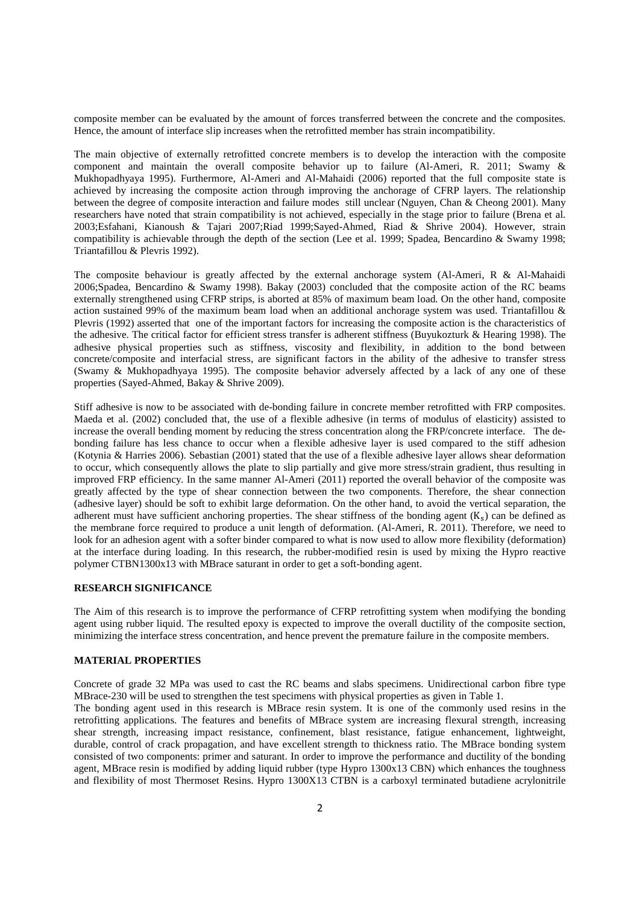composite member can be evaluated by the amount of forces transferred between the concrete and the composites. Hence, the amount of interface slip increases when the retrofitted member has strain incompatibility.

The main objective of externally retrofitted concrete members is to develop the interaction with the composite component and maintain the overall composite behavior up to failure (Al-Ameri, R. 2011; Swamy & Mukhopadhyaya 1995). Furthermore, Al-Ameri and Al-Mahaidi (2006) reported that the full composite state is achieved by increasing the composite action through improving the anchorage of CFRP layers. The relationship between the degree of composite interaction and failure modes still unclear (Nguyen, Chan & Cheong 2001). Many researchers have noted that strain compatibility is not achieved, especially in the stage prior to failure (Brena et al. 2003;Esfahani, Kianoush & Tajari 2007;Riad 1999;Sayed-Ahmed, Riad & Shrive 2004). However, strain compatibility is achievable through the depth of the section (Lee et al. 1999; Spadea, Bencardino & Swamy 1998; Triantafillou & Plevris 1992).

The composite behaviour is greatly affected by the external anchorage system (Al-Ameri, R & Al-Mahaidi 2006;Spadea, Bencardino & Swamy 1998). Bakay (2003) concluded that the composite action of the RC beams externally strengthened using CFRP strips, is aborted at 85% of maximum beam load. On the other hand, composite action sustained 99% of the maximum beam load when an additional anchorage system was used. Triantafillou & Plevris (1992) asserted that one of the important factors for increasing the composite action is the characteristics of the adhesive. The critical factor for efficient stress transfer is adherent stiffness (Buyukozturk & Hearing 1998). The adhesive physical properties such as stiffness, viscosity and flexibility, in addition to the bond between concrete/composite and interfacial stress, are significant factors in the ability of the adhesive to transfer stress (Swamy & Mukhopadhyaya 1995). The composite behavior adversely affected by a lack of any one of these properties (Sayed-Ahmed, Bakay & Shrive 2009).

Stiff adhesive is now to be associated with de-bonding failure in concrete member retrofitted with FRP composites. Maeda et al. (2002) concluded that, the use of a flexible adhesive (in terms of modulus of elasticity) assisted to increase the overall bending moment by reducing the stress concentration along the FRP/concrete interface. The debonding failure has less chance to occur when a flexible adhesive layer is used compared to the stiff adhesion (Kotynia & Harries 2006). Sebastian (2001) stated that the use of a flexible adhesive layer allows shear deformation to occur, which consequently allows the plate to slip partially and give more stress/strain gradient, thus resulting in improved FRP efficiency. In the same manner Al-Ameri (2011) reported the overall behavior of the composite was greatly affected by the type of shear connection between the two components. Therefore, the shear connection (adhesive layer) should be soft to exhibit large deformation. On the other hand, to avoid the vertical separation, the adherent must have sufficient anchoring properties. The shear stiffness of the bonding agent  $(K_s)$  can be defined as the membrane force required to produce a unit length of deformation. (Al-Ameri, R. 2011). Therefore, we need to look for an adhesion agent with a softer binder compared to what is now used to allow more flexibility (deformation) at the interface during loading. In this research, the rubber-modified resin is used by mixing the Hypro reactive polymer CTBN1300x13 with MBrace saturant in order to get a soft-bonding agent.

### **RESEARCH SIGNIFICANCE**

The Aim of this research is to improve the performance of CFRP retrofitting system when modifying the bonding agent using rubber liquid. The resulted epoxy is expected to improve the overall ductility of the composite section, minimizing the interface stress concentration, and hence prevent the premature failure in the composite members.

## **MATERIAL PROPERTIES**

Concrete of grade 32 MPa was used to cast the RC beams and slabs specimens. Unidirectional carbon fibre type MBrace-230 will be used to strengthen the test specimens with physical properties as given in Table 1.

The bonding agent used in this research is MBrace resin system. It is one of the commonly used resins in the retrofitting applications. The features and benefits of MBrace system are increasing flexural strength, increasing shear strength, increasing impact resistance, confinement, blast resistance, fatigue enhancement, lightweight, durable, control of crack propagation, and have excellent strength to thickness ratio. The MBrace bonding system consisted of two components: primer and saturant. In order to improve the performance and ductility of the bonding agent, MBrace resin is modified by adding liquid rubber (type Hypro 1300x13 CBN) which enhances the toughness and flexibility of most Thermoset Resins. Hypro 1300X13 CTBN is a carboxyl terminated butadiene acrylonitrile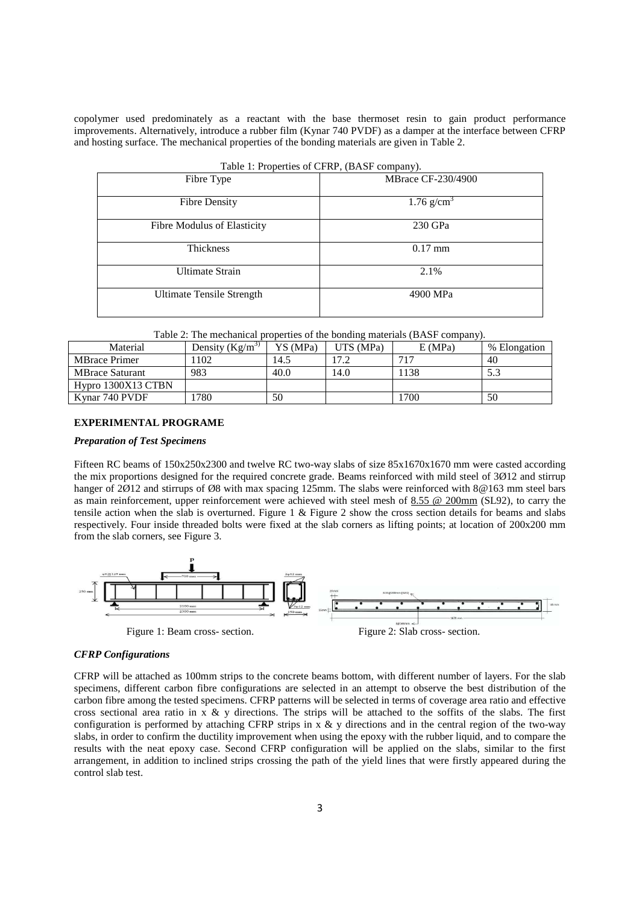copolymer used predominately as a reactant with the base thermoset resin to gain product performance improvements. Alternatively, introduce a rubber film (Kynar 740 PVDF) as a damper at the interface between CFRP and hosting surface. The mechanical properties of the bonding materials are given in Table 2.

| Lable 1. Froperties of CPKF, (DAST Company). |                           |  |  |  |
|----------------------------------------------|---------------------------|--|--|--|
| Fibre Type                                   | <b>MBrace CF-230/4900</b> |  |  |  |
| <b>Fibre Density</b>                         | $1.76$ g/cm <sup>3</sup>  |  |  |  |
| Fibre Modulus of Elasticity                  | 230 GPa                   |  |  |  |
| Thickness                                    | $0.17$ mm                 |  |  |  |
| <b>Ultimate Strain</b>                       | 2.1%                      |  |  |  |
| Ultimate Tensile Strength                    | 4900 MPa                  |  |  |  |

 $T<sub>1</sub>$ , 1:  $D<sub>2</sub>$ ,  $\ldots$ ,  $C$  CFRP,  $(DAP)$ .

Table 2: The mechanical properties of the bonding materials (BASF company).

| Material               | Density $(Kg/m^3)$ | YS (MPa) | UTS (MPa) | E(MPa) | % Elongation |
|------------------------|--------------------|----------|-----------|--------|--------------|
| <b>MBrace Primer</b>   | 102                | 14.5     | 17 7      | 717    | 40           |
| <b>MBrace Saturant</b> | 983                | 40.0     | 14.0      | 1138   |              |
| Hypro 1300X13 CTBN     |                    |          |           |        |              |
| Kynar 740 PVDF         | '780               | 50       |           | 1700   | 50           |

# **EXPERIMENTAL PROGRAME**

# *Preparation of Test Specimens*

Fifteen RC beams of  $150x250x2300$  and twelve RC two-way slabs of size  $85x1670x1670$  mm were casted according the mix proportions designed for the required concrete grade. Beams reinforced with mild steel of 3Ø12 and stirrup hanger of 2012 and stirrups of 08 with max spacing 125mm. The slabs were reinforced with 8@163 mm steel bars as main reinforcement, upper reinforcement were achieved with steel mesh of 8.55 @ 200mm (SL92), to carry the tensile action when the slab is overturned. Figure 1  $\&$  Figure 2 show the cross section details for beams and slabs respectively. Four inside threaded bolts were fixed at the slab corners as lifting points; at location of 200x200 mm from the slab corners, see Figure 3.



Figure 1: Beam cross- section. Figure 2: Slab cross- section.

#### *CFRP Configurations*

CFRP will be attached as 100mm strips to the concrete beams bottom, with different number of layers. For the slab specimens, different carbon fibre configurations are selected in an attempt to observe the best distribution of the carbon fibre among the tested specimens. CFRP patterns will be selected in terms of coverage area ratio and effective cross sectional area ratio in x  $\&$  y directions. The strips will be attached to the soffits of the slabs. The first configuration is performed by attaching CFRP strips in  $x \& y$  directions and in the central region of the two-way slabs, in order to confirm the ductility improvement when using the epoxy with the rubber liquid, and to compare the results with the neat epoxy case. Second CFRP configuration will be applied on the slabs, similar to the first arrangement, in addition to inclined strips crossing the path of the yield lines that were firstly appeared during the control slab test.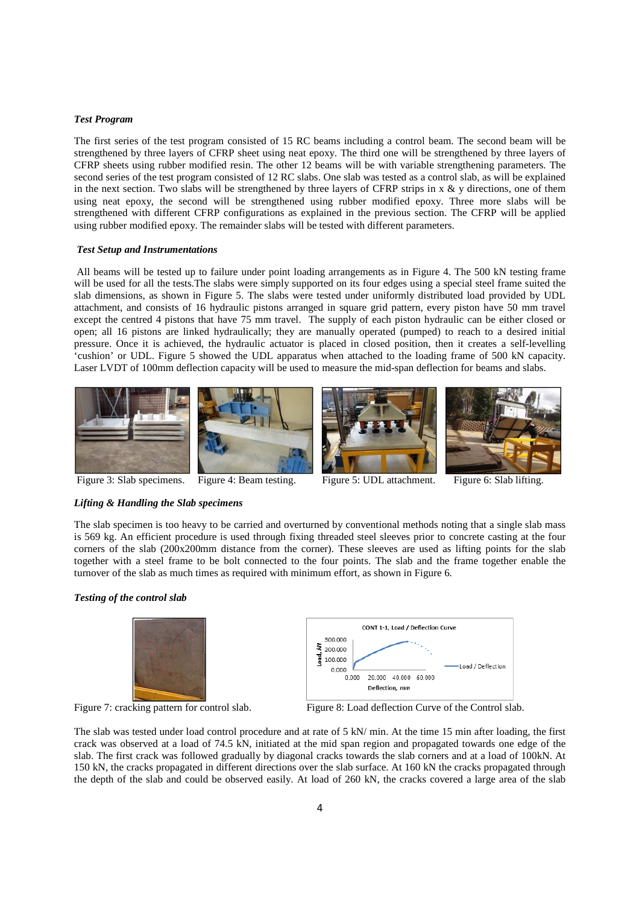### *Test Program*

The first series of the test program consisted of 15 RC beams including a control beam. The second beam will be strengthened by three layers of CFRP sheet using neat epoxy. The third one will be strengthened by three layers of CFRP sheets using rubber modified resin. The other 12 beams will be with variable strengthening parameters. The second series of the test program consisted of 12 RC slabs. One slab was tested as a control slab, as will be explained in the next section. Two slabs will be strengthened by three layers of CFRP strips in  $x \& y$  directions, one of them using neat epoxy, the second will be strengthened using rubber modified epoxy. Three more slabs will be strengthened with different CFRP configurations as explained in the previous section. The CFRP will be applied using rubber modified epoxy. The remainder slabs will be tested with different parameters.

### *Test Setup and Instrumentations*

 All beams will be tested up to failure under point loading arrangements as in Figure 4. The 500 kN testing frame will be used for all the tests.The slabs were simply supported on its four edges using a special steel frame suited the slab dimensions, as shown in Figure 5. The slabs were tested under uniformly distributed load provided by UDL attachment, and consists of 16 hydraulic pistons arranged in square grid pattern, every piston have 50 mm travel except the centred 4 pistons that have 75 mm travel. The supply of each piston hydraulic can be either closed or open; all 16 pistons are linked hydraulically; they are manually operated (pumped) to reach to a desired initial pressure. Once it is achieved, the hydraulic actuator is placed in closed position, then it creates a self-levelling 'cushion' or UDL. Figure 5 showed the UDL apparatus when attached to the loading frame of 500 kN capacity. Laser LVDT of 100mm deflection capacity will be used to measure the mid-span deflection for beams and slabs.









Figure 3: Slab specimens. Figure 4: Beam testing. Figure 5: UDL attachment. Figure 6: Slab lifting.

#### *Lifting & Handling the Slab specimens*

The slab specimen is too heavy to be carried and overturned by conventional methods noting that a single slab mass is 569 kg. An efficient procedure is used through fixing threaded steel sleeves prior to concrete casting at the four corners of the slab (200x200mm distance from the corner). These sleeves are used as lifting points for the slab together with a steel frame to be bolt connected to the four points. The slab and the frame together enable the turnover of the slab as much times as required with minimum effort, as shown in Figure 6.

### *Testing of the control slab*



Figure 7: cracking pattern for control slab.



Figure 8: Load deflection Curve of the Control slab.

The slab was tested under load control procedure and at rate of 5 kN/ min. At the time 15 min after loading, the first crack was observed at a load of 74.5 kN, initiated at the mid span region and propagated towards one edge of the slab. The first crack was followed gradually by diagonal cracks towards the slab corners and at a load of 100kN. At 150 kN, the cracks propagated in different directions over the slab surface. At 160 kN the cracks propagated through the depth of the slab and could be observed easily. At load of 260 kN, the cracks covered a large area of the slab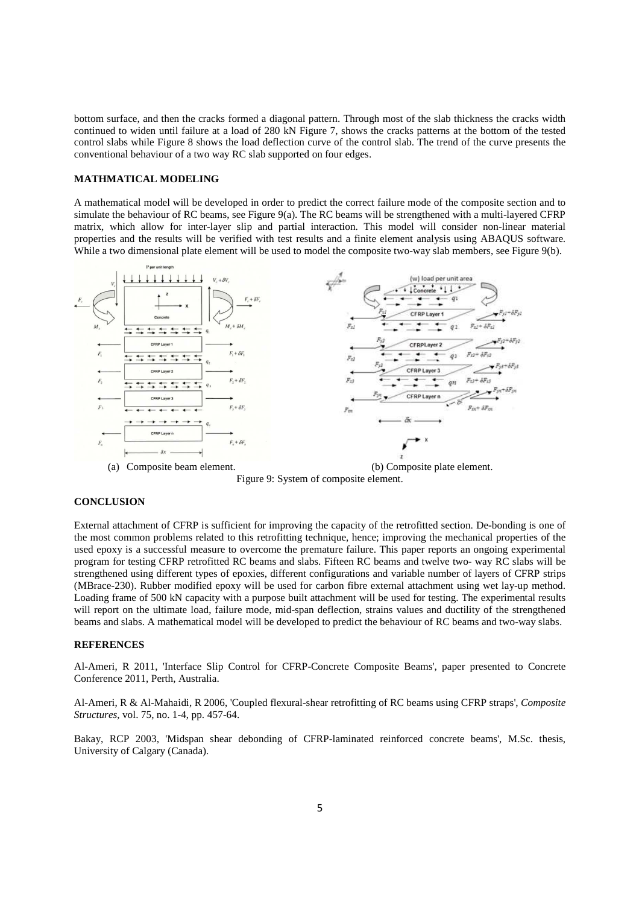bottom surface, and then the cracks formed a diagonal pattern. Through most of the slab thickness the cracks width continued to widen until failure at a load of 280 kN Figure 7, shows the cracks patterns at the bottom of the tested control slabs while Figure 8 shows the load deflection curve of the control slab. The trend of the curve presents the conventional behaviour of a two way RC slab supported on four edges.

## **MATHMATICAL MODELING**

A mathematical model will be developed in order to predict the correct failure mode of the composite section and to simulate the behaviour of RC beams, see Figure 9(a). The RC beams will be strengthened with a multi-layered CFRP matrix, which allow for inter-layer slip and partial interaction. This model will consider non-linear material properties and the results will be verified with test results and a finite element analysis using ABAQUS software. While a two dimensional plate element will be used to model the composite two-way slab members, see Figure 9(b).



Figure 9: System of composite element.

# **CONCLUSION**

External attachment of CFRP is sufficient for improving the capacity of the retrofitted section. De-bonding is one of the most common problems related to this retrofitting technique, hence; improving the mechanical properties of the used epoxy is a successful measure to overcome the premature failure. This paper reports an ongoing experimental program for testing CFRP retrofitted RC beams and slabs. Fifteen RC beams and twelve two- way RC slabs will be strengthened using different types of epoxies, different configurations and variable number of layers of CFRP strips (MBrace-230). Rubber modified epoxy will be used for carbon fibre external attachment using wet lay-up method. Loading frame of 500 kN capacity with a purpose built attachment will be used for testing. The experimental results will report on the ultimate load, failure mode, mid-span deflection, strains values and ductility of the strengthened beams and slabs. A mathematical model will be developed to predict the behaviour of RC beams and two-way slabs.

## **REFERENCES**

Al-Ameri, R 2011, 'Interface Slip Control for CFRP-Concrete Composite Beams', paper presented to Concrete Conference 2011, Perth, Australia.

Al-Ameri, R & Al-Mahaidi, R 2006, 'Coupled flexural-shear retrofitting of RC beams using CFRP straps', *Composite Structures*, vol. 75, no. 1-4, pp. 457-64.

Bakay, RCP 2003, 'Midspan shear debonding of CFRP-laminated reinforced concrete beams', M.Sc. thesis, University of Calgary (Canada).